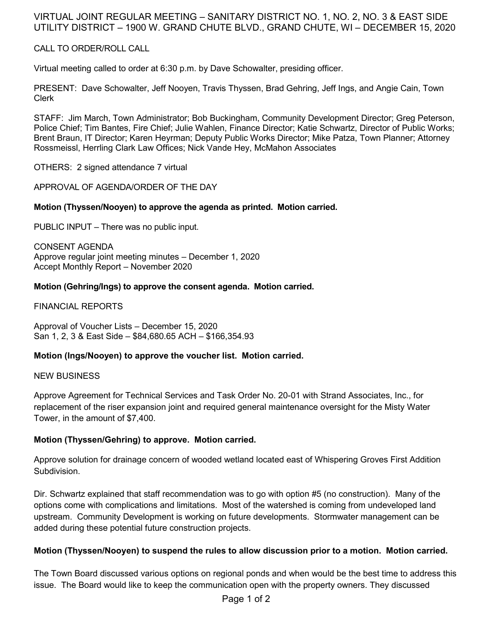## VIRTUAL JOINT REGULAR MEETING – SANITARY DISTRICT NO. 1, NO. 2, NO. 3 & EAST SIDE UTILITY DISTRICT – 1900 W. GRAND CHUTE BLVD., GRAND CHUTE, WI – DECEMBER 15, 2020

## CALL TO ORDER/ROLL CALL

Virtual meeting called to order at 6:30 p.m. by Dave Schowalter, presiding officer.

PRESENT: Dave Schowalter, Jeff Nooyen, Travis Thyssen, Brad Gehring, Jeff Ings, and Angie Cain, Town Clerk

STAFF: Jim March, Town Administrator; Bob Buckingham, Community Development Director; Greg Peterson, Police Chief; Tim Bantes, Fire Chief; Julie Wahlen, Finance Director; Katie Schwartz, Director of Public Works; Brent Braun, IT Director; Karen Heyrman; Deputy Public Works Director; Mike Patza, Town Planner; Attorney Rossmeissl, Herrling Clark Law Offices; Nick Vande Hey, McMahon Associates

OTHERS: 2 signed attendance 7 virtual

APPROVAL OF AGENDA/ORDER OF THE DAY

## **Motion (Thyssen/Nooyen) to approve the agenda as printed. Motion carried.**

PUBLIC INPUT – There was no public input.

CONSENT AGENDA Approve regular joint meeting minutes – December 1, 2020 Accept Monthly Report – November 2020

#### **Motion (Gehring/Ings) to approve the consent agenda. Motion carried.**

FINANCIAL REPORTS

Approval of Voucher Lists – December 15, 2020 San 1, 2, 3 & East Side – \$84,680.65 ACH – \$166,354.93

## **Motion (Ings/Nooyen) to approve the voucher list. Motion carried.**

#### NEW BUSINESS

Approve Agreement for Technical Services and Task Order No. 20-01 with Strand Associates, Inc., for replacement of the riser expansion joint and required general maintenance oversight for the Misty Water Tower, in the amount of \$7,400.

## **Motion (Thyssen/Gehring) to approve. Motion carried.**

Approve solution for drainage concern of wooded wetland located east of Whispering Groves First Addition Subdivision.

Dir. Schwartz explained that staff recommendation was to go with option #5 (no construction). Many of the options come with complications and limitations. Most of the watershed is coming from undeveloped land upstream. Community Development is working on future developments. Stormwater management can be added during these potential future construction projects.

#### **Motion (Thyssen/Nooyen) to suspend the rules to allow discussion prior to a motion. Motion carried.**

The Town Board discussed various options on regional ponds and when would be the best time to address this issue. The Board would like to keep the communication open with the property owners. They discussed